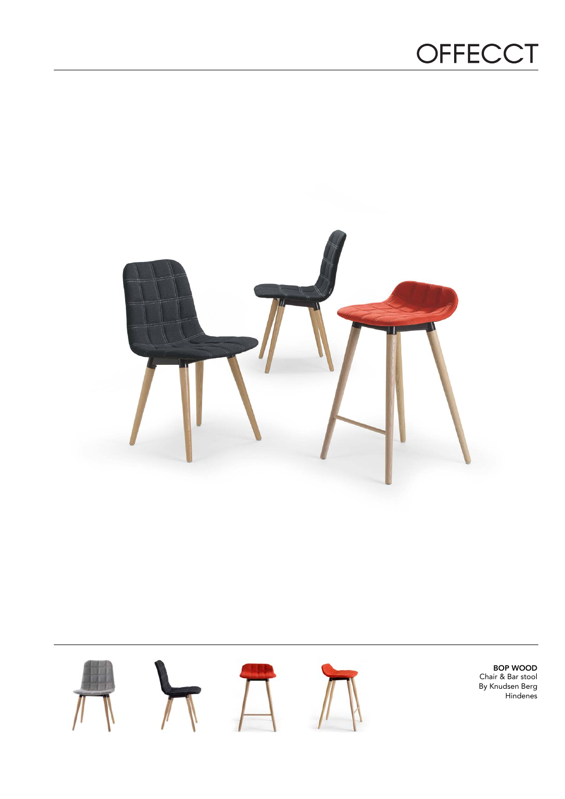## OFFECCT





BOP WOOD Chair & Bar stool By Knudsen Berg Hindenes